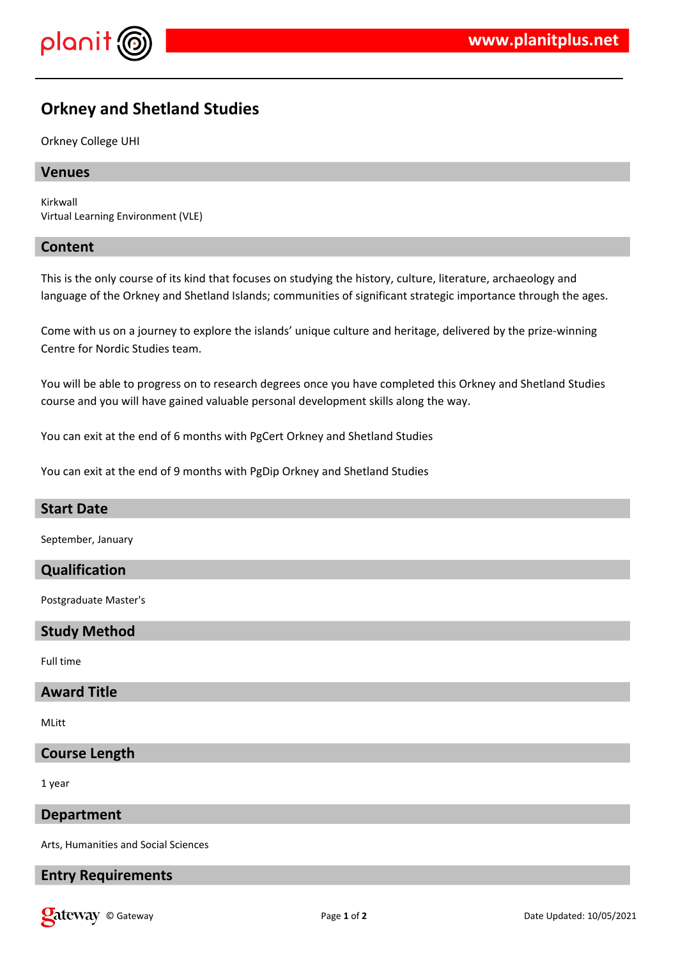

# **Orkney and Shetland Studies**

### Orkney College UHI

## **Venues**

Kirkwall Virtual Learning Environment (VLE)

### **Content**

This is the only course of its kind that focuses on studying the history, culture, literature, archaeology and language of the Orkney and Shetland Islands; communities of significant strategic importance through the ages.

Come with us on a journey to explore the islands' unique culture and heritage, delivered by the prize-winning Centre for Nordic Studies team.

You will be able to progress on to research degrees once you have completed this Orkney and Shetland Studies course and you will have gained valuable personal development skills along the way.

You can exit at the end of 6 months with PgCert Orkney and Shetland Studies

You can exit at the end of 9 months with PgDip Orkney and Shetland Studies

# **Start Date**

September, January

# **Qualification**

Postgraduate Master's

### **Study Method**

Full time

# **Award Title**

MLitt

# **Course Length**

1 year

#### **Department**

Arts, Humanities and Social Sciences

### **Entry Requirements**